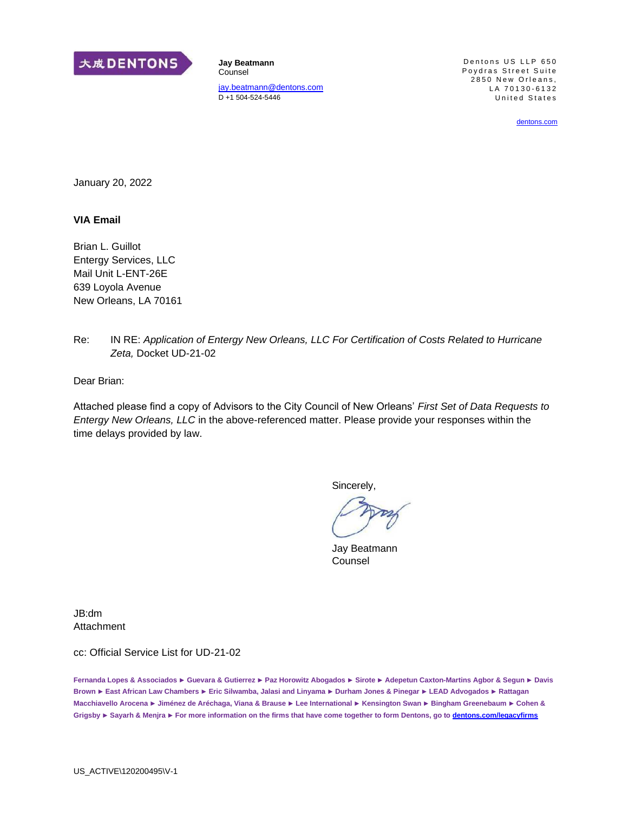

**Jay Beatmann**  Counsel [jay.beatmann@dentons.com](mailto:jay.beatmann@dentons.com) D +1 504-524-5446

Dentons US LLP 650 Poydras Street Suite  $2850$  New Orleans, LA 70130-6132 United States

[dentons.com](http://dentons.com/)

January 20, 2022

#### **VIA Email**

Brian L. Guillot Entergy Services, LLC Mail Unit L-ENT-26E 639 Loyola Avenue New Orleans, LA 70161

Re: IN RE: *Application of Entergy New Orleans, LLC For Certification of Costs Related to Hurricane Zeta,* Docket UD-21-02

Dear Brian:

Attached please find a copy of Advisors to the City Council of New Orleans' *First Set of Data Requests to Entergy New Orleans, LLC* in the above-referenced matter. Please provide your responses within the time delays provided by law.

Sincerely,

Jay Beatmann Counsel

JB:dm Attachment

cc: Official Service List for UD-21-02

**Fernanda Lopes & Associados ► Guevara & Gutierrez ► Paz Horowitz Abogados ► Sirote ► Adepetun Caxton-Martins Agbor & Segun ► Davis Brown ► East African Law Chambers ► Eric Silwamba, Jalasi and Linyama ► Durham Jones & Pinegar ► LEAD Advogados ► Rattagan Macchiavello Arocena ► Jiménez de Aréchaga, Viana & Brause ► Lee International ► Kensington Swan ► Bingham Greenebaum ► Cohen & Grigsby ► Sayarh & Menjra ► For more information on the firms that have come together to form Dentons, go t[o dentons.com/legacyfirms](http://dentons.com/legacyfirms)**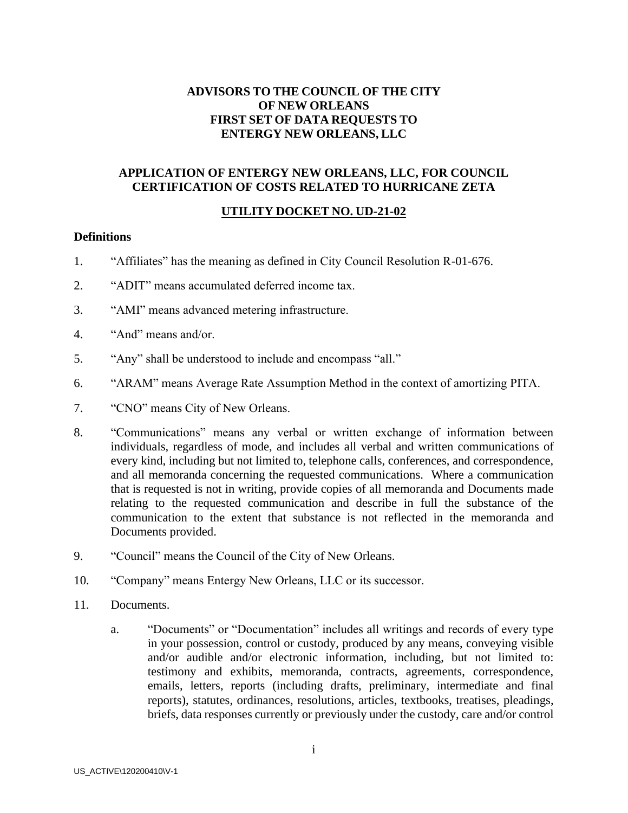## **ADVISORS TO THE COUNCIL OF THE CITY OF NEW ORLEANS FIRST SET OF DATA REQUESTS TO ENTERGY NEW ORLEANS, LLC**

### **APPLICATION OF ENTERGY NEW ORLEANS, LLC, FOR COUNCIL CERTIFICATION OF COSTS RELATED TO HURRICANE ZETA**

# **UTILITY DOCKET NO. UD-21-02**

#### **Definitions**

- 1. "Affiliates" has the meaning as defined in City Council Resolution R-01-676.
- 2. "ADIT" means accumulated deferred income tax.
- 3. "AMI" means advanced metering infrastructure.
- 4. "And" means and/or.
- 5. "Any" shall be understood to include and encompass "all."
- 6. "ARAM" means Average Rate Assumption Method in the context of amortizing PITA.
- 7. "CNO" means City of New Orleans.
- 8. "Communications" means any verbal or written exchange of information between individuals, regardless of mode, and includes all verbal and written communications of every kind, including but not limited to, telephone calls, conferences, and correspondence, and all memoranda concerning the requested communications. Where a communication that is requested is not in writing, provide copies of all memoranda and Documents made relating to the requested communication and describe in full the substance of the communication to the extent that substance is not reflected in the memoranda and Documents provided.
- 9. "Council" means the Council of the City of New Orleans.
- 10. "Company" means Entergy New Orleans, LLC or its successor.
- 11. Documents.
	- a. "Documents" or "Documentation" includes all writings and records of every type in your possession, control or custody, produced by any means, conveying visible and/or audible and/or electronic information, including, but not limited to: testimony and exhibits, memoranda, contracts, agreements, correspondence, emails, letters, reports (including drafts, preliminary, intermediate and final reports), statutes, ordinances, resolutions, articles, textbooks, treatises, pleadings, briefs, data responses currently or previously under the custody, care and/or control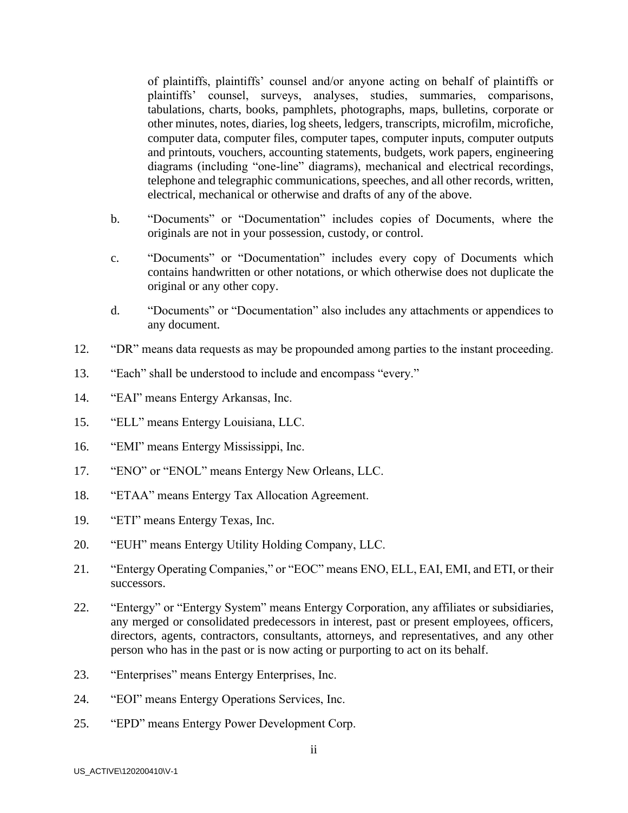of plaintiffs, plaintiffs' counsel and/or anyone acting on behalf of plaintiffs or plaintiffs' counsel, surveys, analyses, studies, summaries, comparisons, tabulations, charts, books, pamphlets, photographs, maps, bulletins, corporate or other minutes, notes, diaries, log sheets, ledgers, transcripts, microfilm, microfiche, computer data, computer files, computer tapes, computer inputs, computer outputs and printouts, vouchers, accounting statements, budgets, work papers, engineering diagrams (including "one-line" diagrams), mechanical and electrical recordings, telephone and telegraphic communications, speeches, and all other records, written, electrical, mechanical or otherwise and drafts of any of the above.

- b. "Documents" or "Documentation" includes copies of Documents, where the originals are not in your possession, custody, or control.
- c. "Documents" or "Documentation" includes every copy of Documents which contains handwritten or other notations, or which otherwise does not duplicate the original or any other copy.
- d. "Documents" or "Documentation" also includes any attachments or appendices to any document.
- 12. "DR" means data requests as may be propounded among parties to the instant proceeding.
- 13. "Each" shall be understood to include and encompass "every."
- 14. "EAI" means Entergy Arkansas, Inc.
- 15. "ELL" means Entergy Louisiana, LLC.
- 16. "EMI" means Entergy Mississippi, Inc.
- 17. "ENO" or "ENOL" means Entergy New Orleans, LLC.
- 18. "ETAA" means Entergy Tax Allocation Agreement.
- 19. "ETI" means Entergy Texas, Inc.
- 20. "EUH" means Entergy Utility Holding Company, LLC.
- 21. "Entergy Operating Companies," or "EOC" means ENO, ELL, EAI, EMI, and ETI, or their successors.
- 22. "Entergy" or "Entergy System" means Entergy Corporation, any affiliates or subsidiaries, any merged or consolidated predecessors in interest, past or present employees, officers, directors, agents, contractors, consultants, attorneys, and representatives, and any other person who has in the past or is now acting or purporting to act on its behalf.
- 23. "Enterprises" means Entergy Enterprises, Inc.
- 24. "EOI" means Entergy Operations Services, Inc.
- 25. "EPD" means Entergy Power Development Corp.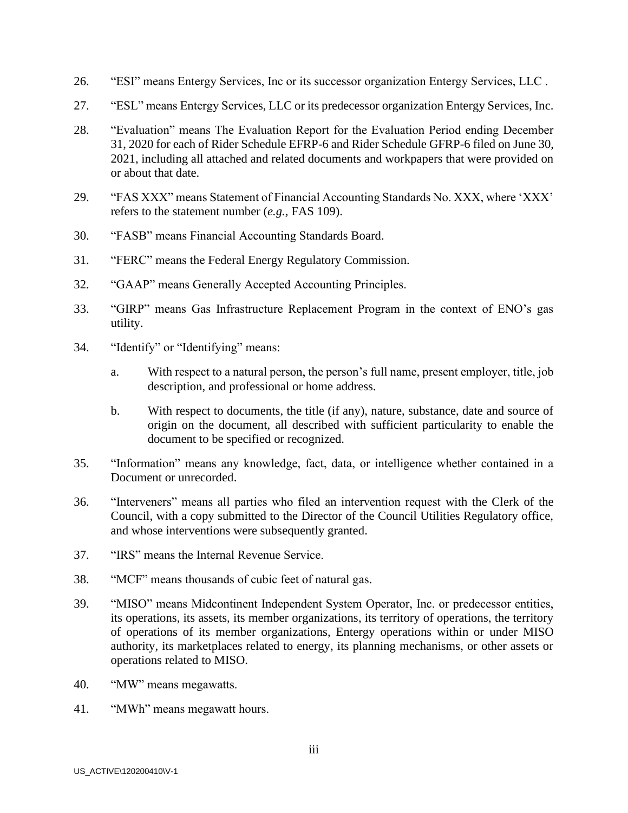- 26. "ESI" means Entergy Services, Inc or its successor organization Entergy Services, LLC .
- 27. "ESL" means Entergy Services, LLC or its predecessor organization Entergy Services, Inc.
- 28. "Evaluation" means The Evaluation Report for the Evaluation Period ending December 31, 2020 for each of Rider Schedule EFRP-6 and Rider Schedule GFRP-6 filed on June 30, 2021, including all attached and related documents and workpapers that were provided on or about that date.
- 29. "FAS XXX" means Statement of Financial Accounting Standards No. XXX, where 'XXX' refers to the statement number (*e.g.,* FAS 109).
- 30. "FASB" means Financial Accounting Standards Board.
- 31. "FERC" means the Federal Energy Regulatory Commission.
- 32. "GAAP" means Generally Accepted Accounting Principles.
- 33. "GIRP" means Gas Infrastructure Replacement Program in the context of ENO's gas utility.
- 34. "Identify" or "Identifying" means:
	- a. With respect to a natural person, the person's full name, present employer, title, job description, and professional or home address.
	- b. With respect to documents, the title (if any), nature, substance, date and source of origin on the document, all described with sufficient particularity to enable the document to be specified or recognized.
- 35. "Information" means any knowledge, fact, data, or intelligence whether contained in a Document or unrecorded.
- 36. "Interveners" means all parties who filed an intervention request with the Clerk of the Council, with a copy submitted to the Director of the Council Utilities Regulatory office, and whose interventions were subsequently granted.
- 37. "IRS" means the Internal Revenue Service.
- 38. "MCF" means thousands of cubic feet of natural gas.
- 39. "MISO" means Midcontinent Independent System Operator, Inc. or predecessor entities, its operations, its assets, its member organizations, its territory of operations, the territory of operations of its member organizations, Entergy operations within or under MISO authority, its marketplaces related to energy, its planning mechanisms, or other assets or operations related to MISO.
- 40. "MW" means megawatts.
- 41. "MWh" means megawatt hours.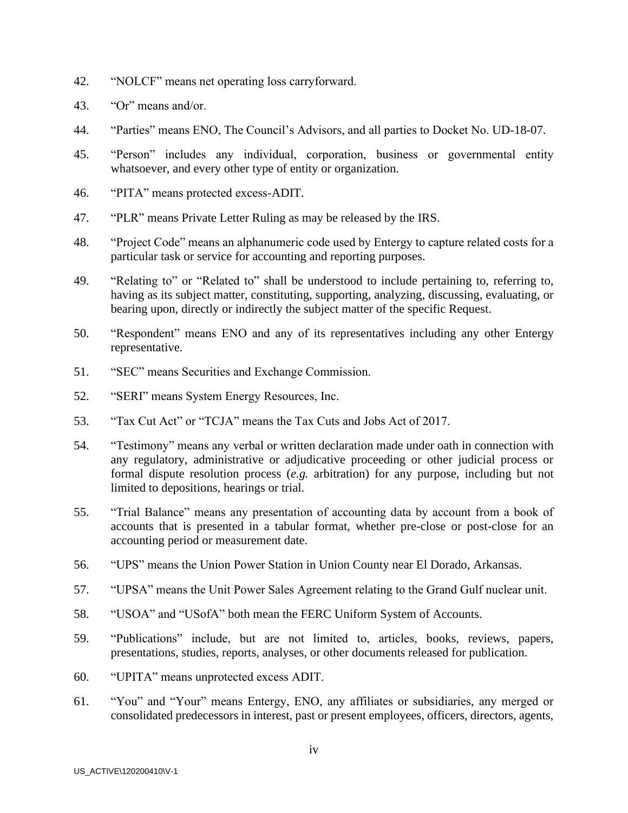- 42. "NOLCF" means net operating loss carryforward.
- 43. "Or" means and/or.
- 44. "Parties" means ENO, The Council's Advisors, and all parties to Docket No. UD-18-07.
- 45. "Person" includes any individual, corporation, business or governmental entity whatsoever, and every other type of entity or organization.
- 46. "PITA" means protected excess-ADIT.
- 47. "PLR" means Private Letter Ruling as may be released by the IRS.
- 48. "Project Code" means an alphanumeric code used by Entergy to capture related costs for a particular task or service for accounting and reporting purposes.
- 49. "Relating to" or "Related to" shall be understood to include pertaining to, referring to, having as its subject matter, constituting, supporting, analyzing, discussing, evaluating, or bearing upon, directly or indirectly the subject matter of the specific Request.
- 50. "Respondent" means ENO and any of its representatives including any other Entergy representative.
- 51. "SEC" means Securities and Exchange Commission.
- 52. "SERI" means System Energy Resources, Inc.
- 53. "Tax Cut Act" or "TCJA" means the Tax Cuts and Jobs Act of 2017.
- 54. "Testimony" means any verbal or written declaration made under oath in connection with any regulatory, administrative or adjudicative proceeding or other judicial process or formal dispute resolution process (*e.g.* arbitration) for any purpose, including but not limited to depositions, hearings or trial.
- 55. "Trial Balance" means any presentation of accounting data by account from a book of accounts that is presented in a tabular format, whether pre-close or post-close for an accounting period or measurement date.
- 56. "UPS" means the Union Power Station in Union County near El Dorado, Arkansas.
- 57. "UPSA" means the Unit Power Sales Agreement relating to the Grand Gulf nuclear unit.
- 58. "USOA" and "USofA" both mean the FERC Uniform System of Accounts.
- 59. "Publications" include, but are not limited to, articles, books, reviews, papers, presentations, studies, reports, analyses, or other documents released for publication.
- 60. "UPITA" means unprotected excess ADIT.
- 61. "You" and "Your" means Entergy, ENO, any affiliates or subsidiaries, any merged or consolidated predecessors in interest, past or present employees, officers, directors, agents,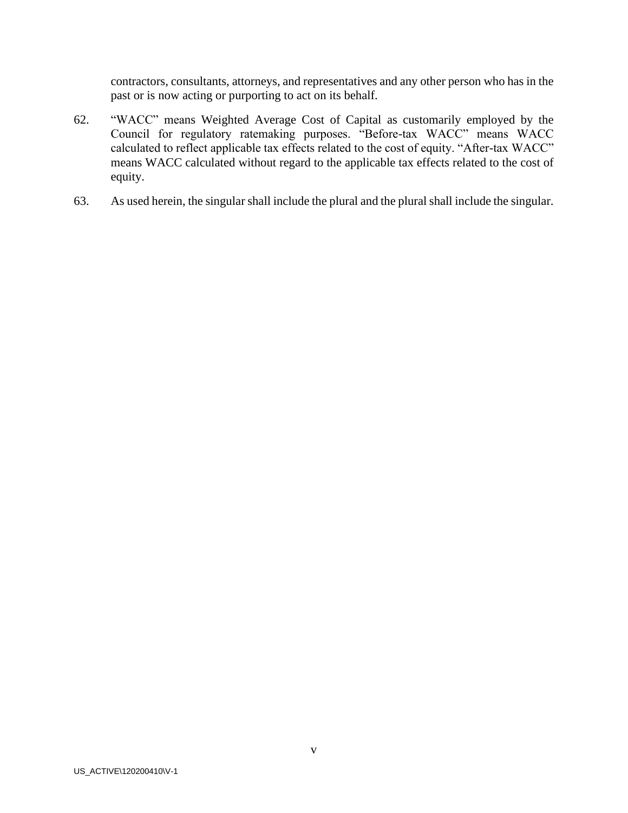contractors, consultants, attorneys, and representatives and any other person who has in the past or is now acting or purporting to act on its behalf.

- 62. "WACC" means Weighted Average Cost of Capital as customarily employed by the Council for regulatory ratemaking purposes. "Before-tax WACC" means WACC calculated to reflect applicable tax effects related to the cost of equity. "After-tax WACC" means WACC calculated without regard to the applicable tax effects related to the cost of equity.
- 63. As used herein, the singular shall include the plural and the plural shall include the singular.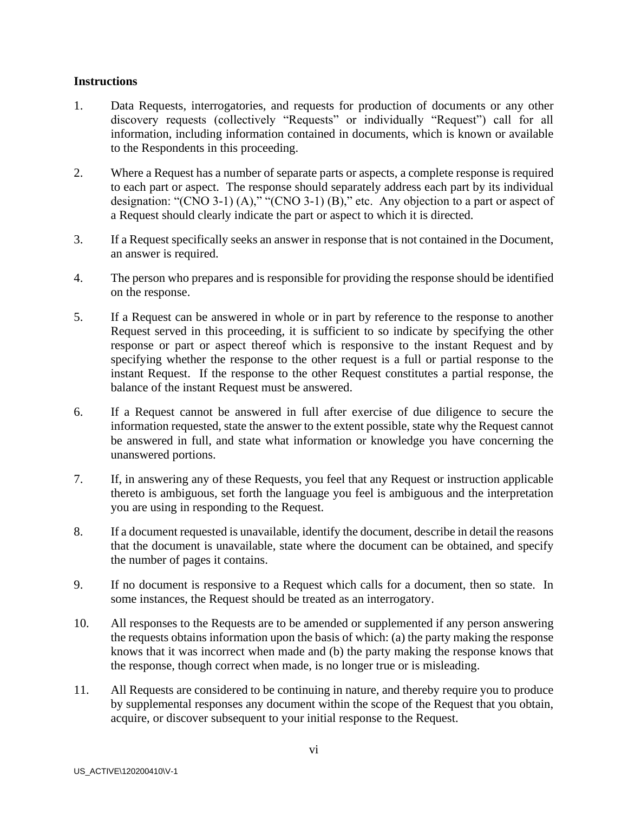### **Instructions**

- 1. Data Requests, interrogatories, and requests for production of documents or any other discovery requests (collectively "Requests" or individually "Request") call for all information, including information contained in documents, which is known or available to the Respondents in this proceeding.
- 2. Where a Request has a number of separate parts or aspects, a complete response is required to each part or aspect. The response should separately address each part by its individual designation: "(CNO 3-1) (A)," "(CNO 3-1) (B)," etc. Any objection to a part or aspect of a Request should clearly indicate the part or aspect to which it is directed.
- 3. If a Request specifically seeks an answer in response that is not contained in the Document, an answer is required.
- 4. The person who prepares and is responsible for providing the response should be identified on the response.
- 5. If a Request can be answered in whole or in part by reference to the response to another Request served in this proceeding, it is sufficient to so indicate by specifying the other response or part or aspect thereof which is responsive to the instant Request and by specifying whether the response to the other request is a full or partial response to the instant Request. If the response to the other Request constitutes a partial response, the balance of the instant Request must be answered.
- 6. If a Request cannot be answered in full after exercise of due diligence to secure the information requested, state the answer to the extent possible, state why the Request cannot be answered in full, and state what information or knowledge you have concerning the unanswered portions.
- 7. If, in answering any of these Requests, you feel that any Request or instruction applicable thereto is ambiguous, set forth the language you feel is ambiguous and the interpretation you are using in responding to the Request.
- 8. If a document requested is unavailable, identify the document, describe in detail the reasons that the document is unavailable, state where the document can be obtained, and specify the number of pages it contains.
- 9. If no document is responsive to a Request which calls for a document, then so state. In some instances, the Request should be treated as an interrogatory.
- 10. All responses to the Requests are to be amended or supplemented if any person answering the requests obtains information upon the basis of which: (a) the party making the response knows that it was incorrect when made and (b) the party making the response knows that the response, though correct when made, is no longer true or is misleading.
- 11. All Requests are considered to be continuing in nature, and thereby require you to produce by supplemental responses any document within the scope of the Request that you obtain, acquire, or discover subsequent to your initial response to the Request.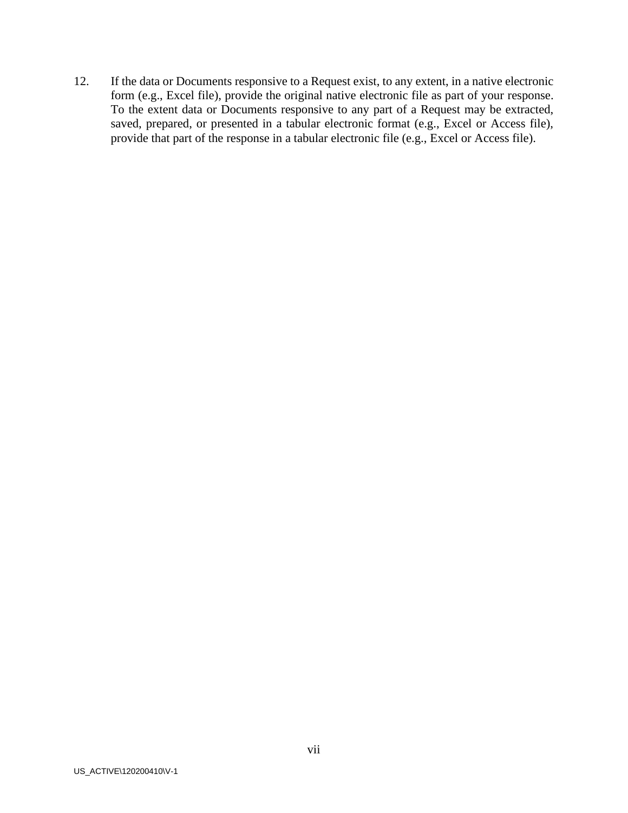12. If the data or Documents responsive to a Request exist, to any extent, in a native electronic form (e.g., Excel file), provide the original native electronic file as part of your response. To the extent data or Documents responsive to any part of a Request may be extracted, saved, prepared, or presented in a tabular electronic format (e.g., Excel or Access file), provide that part of the response in a tabular electronic file (e.g., Excel or Access file).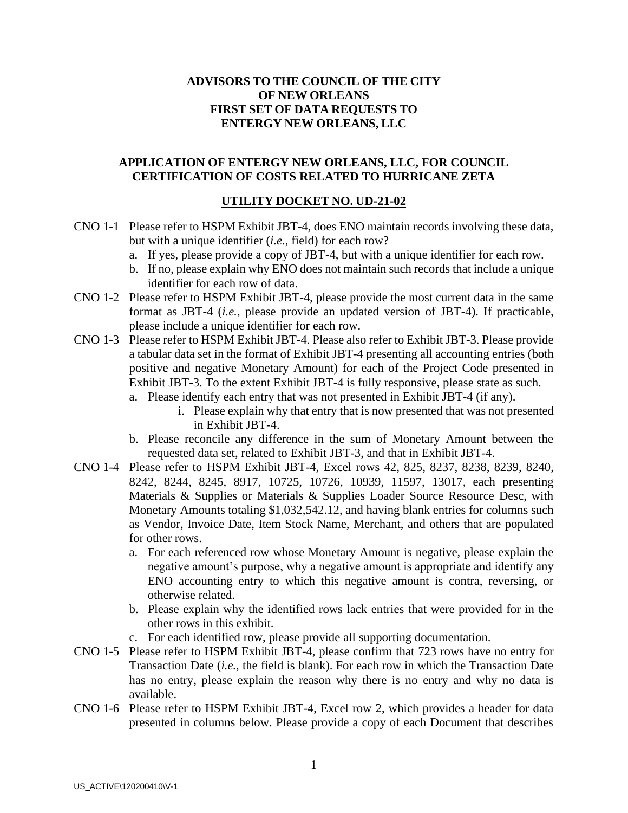## **ADVISORS TO THE COUNCIL OF THE CITY OF NEW ORLEANS FIRST SET OF DATA REQUESTS TO ENTERGY NEW ORLEANS, LLC**

### **APPLICATION OF ENTERGY NEW ORLEANS, LLC, FOR COUNCIL CERTIFICATION OF COSTS RELATED TO HURRICANE ZETA**

### **UTILITY DOCKET NO. UD-21-02**

- CNO 1-1 Please refer to HSPM Exhibit JBT-4, does ENO maintain records involving these data, but with a unique identifier (*i.e.*, field) for each row?
	- a. If yes, please provide a copy of JBT-4, but with a unique identifier for each row.
	- b. If no, please explain why ENO does not maintain such records that include a unique identifier for each row of data.
- CNO 1-2 Please refer to HSPM Exhibit JBT-4, please provide the most current data in the same format as JBT-4 (*i.e.*, please provide an updated version of JBT-4). If practicable, please include a unique identifier for each row.
- CNO 1-3 Please refer to HSPM Exhibit JBT-4. Please also refer to Exhibit JBT-3. Please provide a tabular data set in the format of Exhibit JBT-4 presenting all accounting entries (both positive and negative Monetary Amount) for each of the Project Code presented in Exhibit JBT-3. To the extent Exhibit JBT-4 is fully responsive, please state as such.
	- a. Please identify each entry that was not presented in Exhibit JBT-4 (if any).
		- i. Please explain why that entry that is now presented that was not presented in Exhibit JBT-4.
	- b. Please reconcile any difference in the sum of Monetary Amount between the requested data set, related to Exhibit JBT-3, and that in Exhibit JBT-4.
- CNO 1-4 Please refer to HSPM Exhibit JBT-4, Excel rows 42, 825, 8237, 8238, 8239, 8240, 8242, 8244, 8245, 8917, 10725, 10726, 10939, 11597, 13017, each presenting Materials & Supplies or Materials & Supplies Loader Source Resource Desc, with Monetary Amounts totaling \$1,032,542.12, and having blank entries for columns such as Vendor, Invoice Date, Item Stock Name, Merchant, and others that are populated for other rows.
	- a. For each referenced row whose Monetary Amount is negative, please explain the negative amount's purpose, why a negative amount is appropriate and identify any ENO accounting entry to which this negative amount is contra, reversing, or otherwise related.
	- b. Please explain why the identified rows lack entries that were provided for in the other rows in this exhibit.
	- c. For each identified row, please provide all supporting documentation.
- CNO 1-5 Please refer to HSPM Exhibit JBT-4, please confirm that 723 rows have no entry for Transaction Date (*i.e.*, the field is blank). For each row in which the Transaction Date has no entry, please explain the reason why there is no entry and why no data is available.
- CNO 1-6 Please refer to HSPM Exhibit JBT-4, Excel row 2, which provides a header for data presented in columns below. Please provide a copy of each Document that describes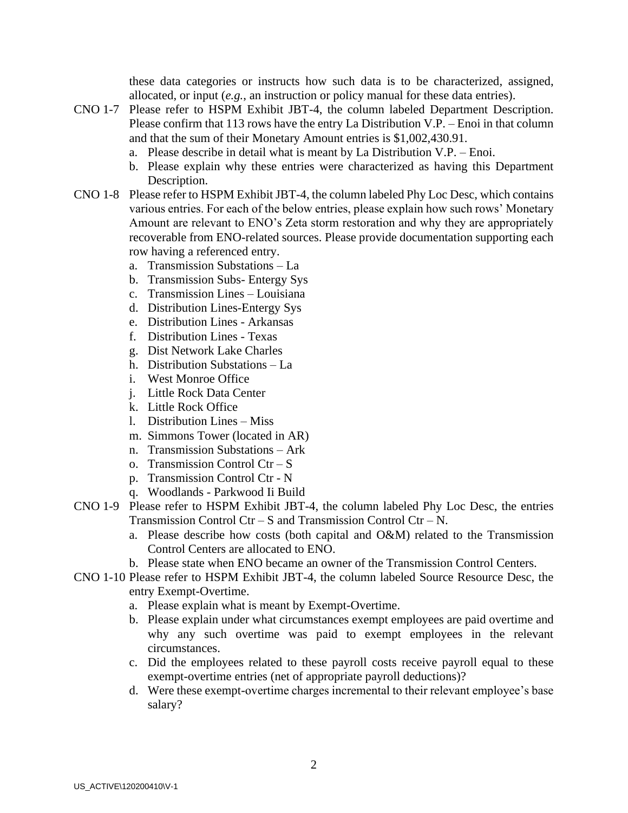these data categories or instructs how such data is to be characterized, assigned, allocated, or input (*e.g.*, an instruction or policy manual for these data entries).

- CNO 1-7 Please refer to HSPM Exhibit JBT-4, the column labeled Department Description. Please confirm that 113 rows have the entry La Distribution V.P. – Enoi in that column and that the sum of their Monetary Amount entries is \$1,002,430.91.
	- a. Please describe in detail what is meant by La Distribution V.P. Enoi.
	- b. Please explain why these entries were characterized as having this Department Description.
- CNO 1-8 Please refer to HSPM Exhibit JBT-4, the column labeled Phy Loc Desc, which contains various entries. For each of the below entries, please explain how such rows' Monetary Amount are relevant to ENO's Zeta storm restoration and why they are appropriately recoverable from ENO-related sources. Please provide documentation supporting each row having a referenced entry.
	- a. Transmission Substations La
	- b. Transmission Subs- Entergy Sys
	- c. Transmission Lines Louisiana
	- d. Distribution Lines-Entergy Sys
	- e. Distribution Lines Arkansas
	- f. Distribution Lines Texas
	- g. Dist Network Lake Charles
	- h. Distribution Substations La
	- i. West Monroe Office
	- j. Little Rock Data Center
	- k. Little Rock Office
	- l. Distribution Lines Miss
	- m. Simmons Tower (located in AR)
	- n. Transmission Substations Ark
	- o. Transmission Control Ctr S
	- p. Transmission Control Ctr N
	- q. Woodlands Parkwood Ii Build
- CNO 1-9 Please refer to HSPM Exhibit JBT-4, the column labeled Phy Loc Desc, the entries Transmission Control  $\text{Ctr} - \text{S}$  and Transmission Control  $\text{Ctr} - \text{N}$ .
	- a. Please describe how costs (both capital and O&M) related to the Transmission Control Centers are allocated to ENO.
	- b. Please state when ENO became an owner of the Transmission Control Centers.
- CNO 1-10 Please refer to HSPM Exhibit JBT-4, the column labeled Source Resource Desc, the entry Exempt-Overtime.
	- a. Please explain what is meant by Exempt-Overtime.
	- b. Please explain under what circumstances exempt employees are paid overtime and why any such overtime was paid to exempt employees in the relevant circumstances.
	- c. Did the employees related to these payroll costs receive payroll equal to these exempt-overtime entries (net of appropriate payroll deductions)?
	- d. Were these exempt-overtime charges incremental to their relevant employee's base salary?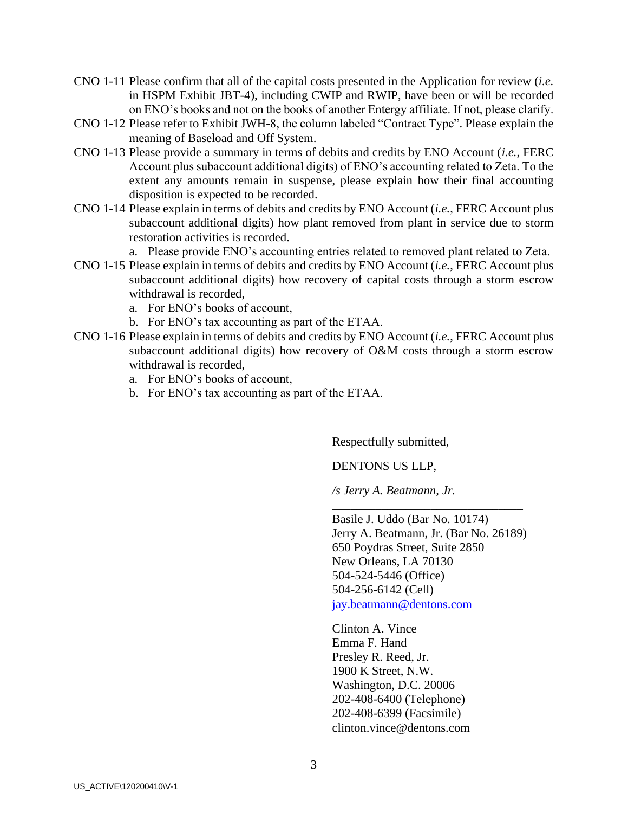- CNO 1-11 Please confirm that all of the capital costs presented in the Application for review (*i.e.* in HSPM Exhibit JBT-4), including CWIP and RWIP, have been or will be recorded on ENO's books and not on the books of another Entergy affiliate. If not, please clarify.
- CNO 1-12 Please refer to Exhibit JWH-8, the column labeled "Contract Type". Please explain the meaning of Baseload and Off System.
- CNO 1-13 Please provide a summary in terms of debits and credits by ENO Account (*i.e.*, FERC Account plus subaccount additional digits) of ENO's accounting related to Zeta. To the extent any amounts remain in suspense, please explain how their final accounting disposition is expected to be recorded.
- CNO 1-14 Please explain in terms of debits and credits by ENO Account (*i.e.*, FERC Account plus subaccount additional digits) how plant removed from plant in service due to storm restoration activities is recorded.

a. Please provide ENO's accounting entries related to removed plant related to Zeta.

- CNO 1-15 Please explain in terms of debits and credits by ENO Account (*i.e.*, FERC Account plus subaccount additional digits) how recovery of capital costs through a storm escrow withdrawal is recorded,
	- a. For ENO's books of account,
	- b. For ENO's tax accounting as part of the ETAA.
- CNO 1-16 Please explain in terms of debits and credits by ENO Account (*i.e.*, FERC Account plus subaccount additional digits) how recovery of O&M costs through a storm escrow withdrawal is recorded,
	- a. For ENO's books of account,
	- b. For ENO's tax accounting as part of the ETAA.

Respectfully submitted,

DENTONS US LLP,

*/s Jerry A. Beatmann, Jr.*

Basile J. Uddo (Bar No. 10174) Jerry A. Beatmann, Jr. (Bar No. 26189) 650 Poydras Street, Suite 2850 New Orleans, LA 70130 504-524-5446 (Office) 504-256-6142 (Cell) [jay.beatmann@dentons.com](mailto:jay.beatmann@dentons.com)

\_\_\_\_\_\_\_\_\_\_\_\_\_\_\_\_\_\_\_\_\_\_\_\_\_\_\_\_\_\_\_

Clinton A. Vince Emma F. Hand Presley R. Reed, Jr. 1900 K Street, N.W. Washington, D.C. 20006 202-408-6400 (Telephone) 202-408-6399 (Facsimile) clinton.vince@dentons.com